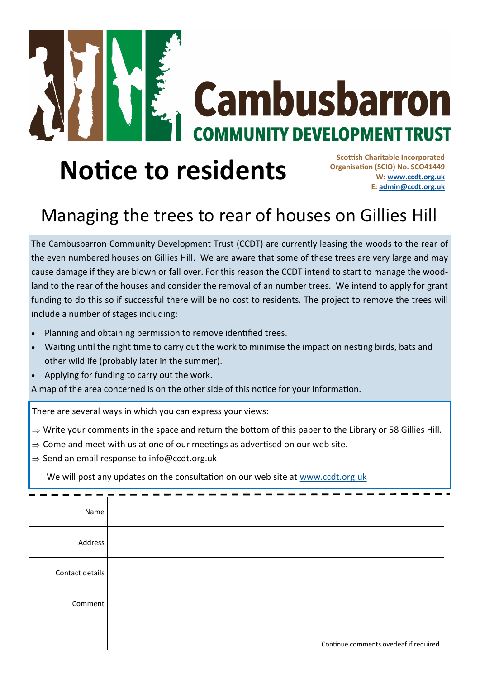

## **Notice to residents**

**Scottish Charitable Incorporated Organisation (SCIO) No. SCO41449 W: [www.ccdt.org.uk](http://www.ccdt.org.uk) E: [admin@ccdt.org.uk](mailto:admin@ccdt.org.uk)**

## Managing the trees to rear of houses on Gillies Hill

The Cambusbarron Community Development Trust (CCDT) are currently leasing the woods to the rear of the even numbered houses on Gillies Hill. We are aware that some of these trees are very large and may cause damage if they are blown or fall over. For this reason the CCDT intend to start to manage the woodland to the rear of the houses and consider the removal of an number trees. We intend to apply for grant funding to do this so if successful there will be no cost to residents. The project to remove the trees will include a number of stages including:

- Planning and obtaining permission to remove identified trees.
- Waiting until the right time to carry out the work to minimise the impact on nesting birds, bats and other wildlife (probably later in the summer).
- Applying for funding to carry out the work.

A map of the area concerned is on the other side of this notice for your information.

There are several ways in which you can express your views:

- $\Rightarrow$  Write your comments in the space and return the bottom of this paper to the Library or 58 Gillies Hill.
- $\Rightarrow$  Come and meet with us at one of our meetings as advertised on our web site.
- $\Rightarrow$  Send an email response to info@ccdt.org.uk

We will post any updates on the consultation on our web site at [www.ccdt.org.uk](http://www.ccdt.org.uk)

| Name            |                                         |
|-----------------|-----------------------------------------|
| Address         |                                         |
| Contact details |                                         |
| Comment         |                                         |
|                 | Continue comments overleaf if required. |